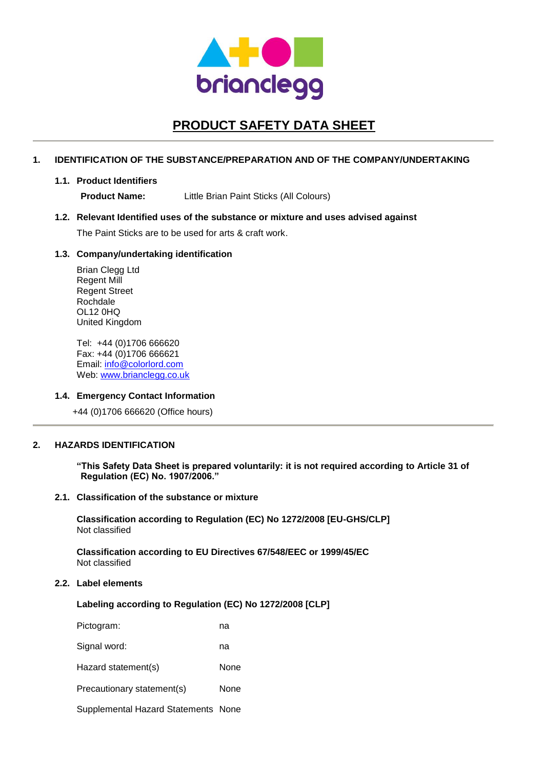

# **PRODUCT SAFETY DATA SHEET**

## **1. IDENTIFICATION OF THE SUBSTANCE/PREPARATION AND OF THE COMPANY/UNDERTAKING**

#### **1.1. Product Identifiers**

**Product Name:** Little Brian Paint Sticks (All Colours)

## **1.2. Relevant Identified uses of the substance or mixture and uses advised against**

The Paint Sticks are to be used for arts & craft work.

## **1.3. Company/undertaking identification**

Brian Clegg Ltd Regent Mill Regent Street Rochdale OL12 0HQ United Kingdom

Tel: +44 (0)1706 666620 Fax: +44 (0)1706 666621 Email: [info@colorlord.com](mailto:info@colorlord.com) Web: [www.brianclegg.co.uk](http://www.brianclegg.co.uk/)

## **1.4. Emergency Contact Information**

+44 (0)1706 666620 (Office hours)

## **2. HAZARDS IDENTIFICATION**

**"This Safety Data Sheet is prepared voluntarily: it is not required according to Article 31 of Regulation (EC) No. 1907/2006."**

## **2.1. Classification of the substance or mixture**

**Classification according to Regulation (EC) No 1272/2008 [EU-GHS/CLP]** Not classified

**Classification according to EU Directives 67/548/EEC or 1999/45/EC** Not classified

## **2.2. Label elements**

#### **Labeling according to Regulation (EC) No 1272/2008 [CLP]**

| Pictogram:                          | na   |
|-------------------------------------|------|
| Signal word:                        | na   |
| Hazard statement(s)                 | None |
| Precautionary statement(s)          | None |
| Supplemental Hazard Statements None |      |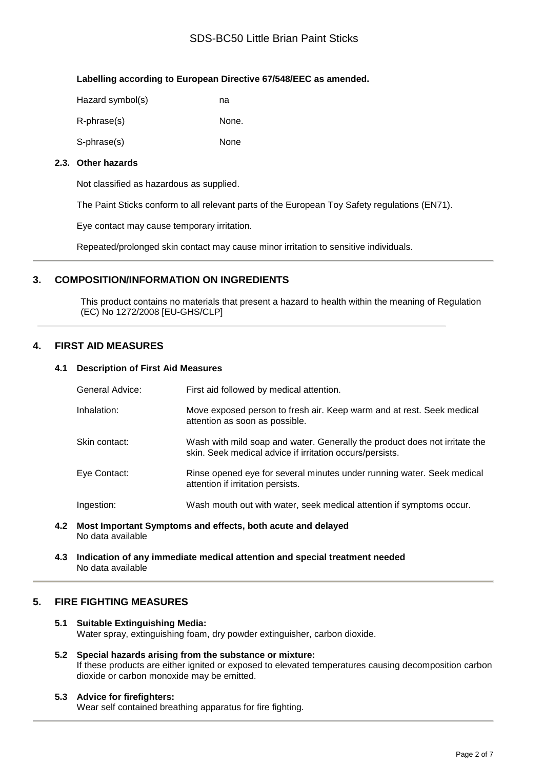# SDS-BC50 Little Brian Paint Sticks

## **Labelling according to European Directive 67/548/EEC as amended.**

| Hazard symbol(s) | na    |
|------------------|-------|
| R-phrase(s)      | None. |
| S-phrase(s)      | None  |

## **2.3. Other hazards**

Not classified as hazardous as supplied.

The Paint Sticks conform to all relevant parts of the European Toy Safety regulations (EN71).

Eye contact may cause temporary irritation.

Repeated/prolonged skin contact may cause minor irritation to sensitive individuals.

# **3. COMPOSITION/INFORMATION ON INGREDIENTS**

This product contains no materials that present a hazard to health within the meaning of Regulation (EC) No 1272/2008 [EU-GHS/CLP]

# **4. FIRST AID MEASURES**

## **4.1 Description of First Aid Measures**

| General Advice: | First aid followed by medical attention.                                                                                               |
|-----------------|----------------------------------------------------------------------------------------------------------------------------------------|
| Inhalation:     | Move exposed person to fresh air. Keep warm and at rest. Seek medical<br>attention as soon as possible.                                |
| Skin contact:   | Wash with mild soap and water. Generally the product does not irritate the<br>skin. Seek medical advice if irritation occurs/persists. |
| Eye Contact:    | Rinse opened eye for several minutes under running water. Seek medical<br>attention if irritation persists.                            |
| Ingestion:      | Wash mouth out with water, seek medical attention if symptoms occur.                                                                   |

**4.2 Most Important Symptoms and effects, both acute and delayed** No data available

**4.3 Indication of any immediate medical attention and special treatment needed** No data available

## **5. FIRE FIGHTING MEASURES**

## **5.1 Suitable Extinguishing Media:** Water spray, extinguishing foam, dry powder extinguisher, carbon dioxide.

**5.2 Special hazards arising from the substance or mixture:** If these products are either ignited or exposed to elevated temperatures causing decomposition carbon dioxide or carbon monoxide may be emitted.

## **5.3 Advice for firefighters:**

Wear self contained breathing apparatus for fire fighting.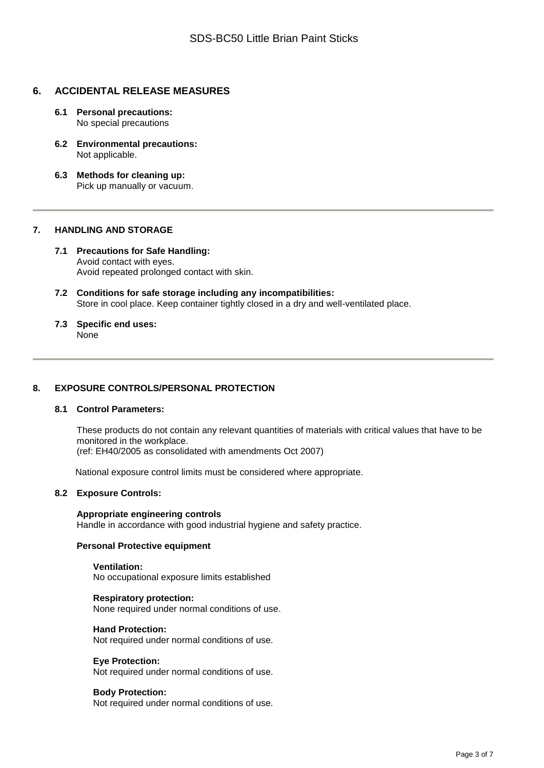# **6. ACCIDENTAL RELEASE MEASURES**

- **6.1 Personal precautions:** No special precautions
- **6.2 Environmental precautions:** Not applicable.
- **6.3 Methods for cleaning up:** Pick up manually or vacuum.

## **7. HANDLING AND STORAGE**

- **7.1 Precautions for Safe Handling:** Avoid contact with eyes. Avoid repeated prolonged contact with skin.
- **7.2 Conditions for safe storage including any incompatibilities:** Store in cool place. Keep container tightly closed in a dry and well-ventilated place.
- **7.3 Specific end uses:** None

## **8. EXPOSURE CONTROLS/PERSONAL PROTECTION**

#### **8.1 Control Parameters:**

These products do not contain any relevant quantities of materials with critical values that have to be monitored in the workplace.

(ref: EH40/2005 as consolidated with amendments Oct 2007)

National exposure control limits must be considered where appropriate.

#### **8.2 Exposure Controls:**

#### **Appropriate engineering controls** Handle in accordance with good industrial hygiene and safety practice.

#### **Personal Protective equipment**

## **Ventilation:**

No occupational exposure limits established

#### **Respiratory protection:**

None required under normal conditions of use.

#### **Hand Protection:**

Not required under normal conditions of use.

#### **Eye Protection:**

Not required under normal conditions of use.

#### **Body Protection:**

Not required under normal conditions of use.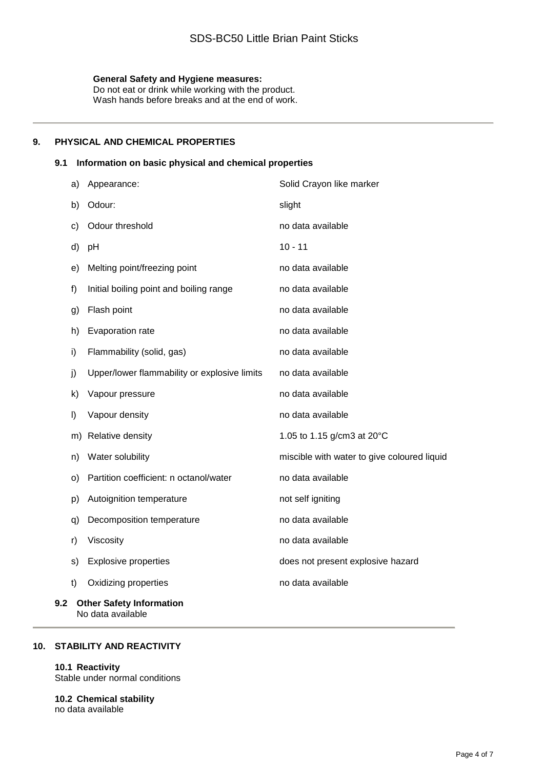## **General Safety and Hygiene measures:**

Do not eat or drink while working with the product. Wash hands before breaks and at the end of work.

## **9. PHYSICAL AND CHEMICAL PROPERTIES**

## **9.1 Information on basic physical and chemical properties**

| a)                                     | Appearance:                                  | Solid Crayon like marker                    |
|----------------------------------------|----------------------------------------------|---------------------------------------------|
| b)                                     | Odour:                                       | slight                                      |
| c)                                     | Odour threshold                              | no data available                           |
| d)                                     | pH                                           | $10 - 11$                                   |
| e)                                     | Melting point/freezing point                 | no data available                           |
| f)                                     | Initial boiling point and boiling range      | no data available                           |
| g)                                     | Flash point                                  | no data available                           |
| h)                                     | Evaporation rate                             | no data available                           |
| i)                                     | Flammability (solid, gas)                    | no data available                           |
| j)                                     | Upper/lower flammability or explosive limits | no data available                           |
| k)                                     | Vapour pressure                              | no data available                           |
| $\vert$                                | Vapour density                               | no data available                           |
| m)                                     | Relative density                             | 1.05 to 1.15 g/cm3 at 20°C                  |
| n)                                     | Water solubility                             | miscible with water to give coloured liquid |
| $\circ$                                | Partition coefficient: n octanol/water       | no data available                           |
| p)                                     | Autoignition temperature                     | not self igniting                           |
| q)                                     | Decomposition temperature                    | no data available                           |
| r)                                     | Viscosity                                    | no data available                           |
| s)                                     | <b>Explosive properties</b>                  | does not present explosive hazard           |
| t)                                     | Oxidizing properties                         | no data available                           |
| <b>Other Safety Information</b><br>9.2 |                                              |                                             |

No data available

# **10. STABILITY AND REACTIVITY**

## **10.1 Reactivity**

Stable under normal conditions

**10.2 Chemical stability** no data available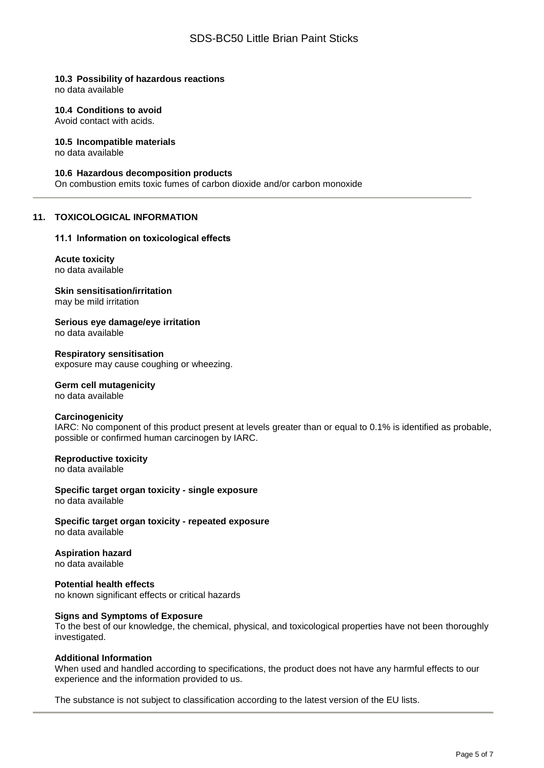## **10.3 Possibility of hazardous reactions**

no data available

#### **10.4 Conditions to avoid**

Avoid contact with acids.

#### **10.5 Incompatible materials**

no data available

#### **10.6 Hazardous decomposition products**

On combustion emits toxic fumes of carbon dioxide and/or carbon monoxide

#### **11. TOXICOLOGICAL INFORMATION**

#### **11.1 Information on toxicological effects**

#### **Acute toxicity** no data available

**Skin sensitisation/irritation**

may be mild irritation

**Serious eye damage/eye irritation** no data available

**Respiratory sensitisation** exposure may cause coughing or wheezing.

#### **Germ cell mutagenicity** no data available

# **Carcinogenicity**

IARC: No component of this product present at levels greater than or equal to 0.1% is identified as probable, possible or confirmed human carcinogen by IARC.

# **Reproductive toxicity**

no data available

**Specific target organ toxicity - single exposure** no data available

**Specific target organ toxicity - repeated exposure** no data available

## **Aspiration hazard**

no data available

#### **Potential health effects** no known significant effects or critical hazards

#### **Signs and Symptoms of Exposure**

To the best of our knowledge, the chemical, physical, and toxicological properties have not been thoroughly investigated.

#### **Additional Information**

When used and handled according to specifications, the product does not have any harmful effects to our experience and the information provided to us.

The substance is not subject to classification according to the latest version of the EU lists.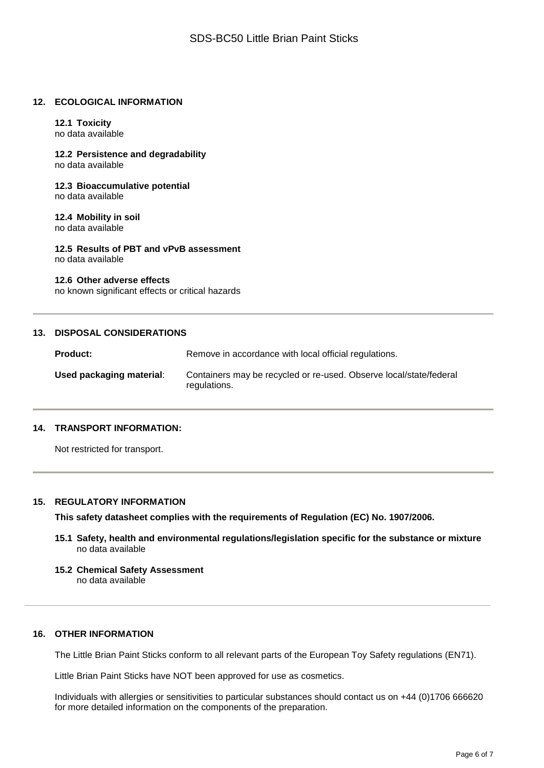#### **12. ECOLOGICAL INFORMATION**

# **12.1 Toxicity**

no data available

**12.2 Persistence and degradability** no data available

**12.3 Bioaccumulative potential** no data available

#### **12.4 Mobility in soil** no data available

**12.5 Results of PBT and vPvB assessment** no data available

#### **12.6 Other adverse effects**

no known significant effects or critical hazards

## **13. DISPOSAL CONSIDERATIONS**

| <b>Product:</b>          | Remove in accordance with local official regulations.                              |
|--------------------------|------------------------------------------------------------------------------------|
| Used packaging material: | Containers may be recycled or re-used. Observe local/state/federal<br>regulations. |

## **14. TRANSPORT INFORMATION:**

Not restricted for transport.

#### **15. REGULATORY INFORMATION**

**This safety datasheet complies with the requirements of Regulation (EC) No. 1907/2006.**

- **15.1 Safety, health and environmental regulations/legislation specific for the substance or mixture** no data available
- **15.2 Chemical Safety Assessment** no data available

## **16. OTHER INFORMATION**

The Little Brian Paint Sticks conform to all relevant parts of the European Toy Safety regulations (EN71).

Little Brian Paint Sticks have NOT been approved for use as cosmetics.

Individuals with allergies or sensitivities to particular substances should contact us on +44 (0)1706 666620 for more detailed information on the components of the preparation.